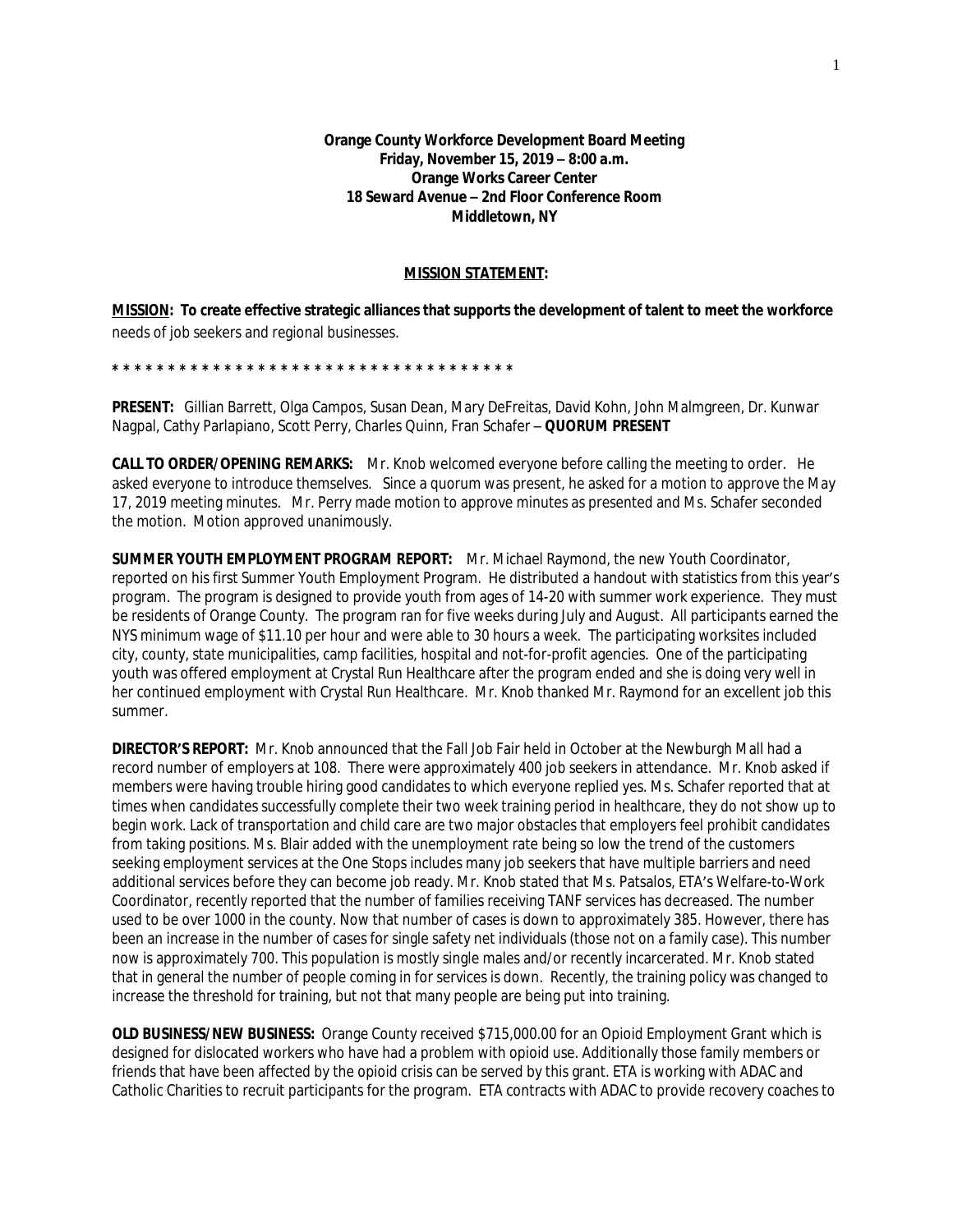## **MISSION STATEMENT:**

**MISSION: To create effective strategic alliances that supports the development of talent to meet the workforce**  needs of job seekers and regional businesses.

**\* \* \* \* \* \* \* \* \* \* \* \* \* \* \* \* \* \* \* \* \* \* \* \* \* \* \* \* \* \* \* \* \* \* \* \*** 

**PRESENT:** Gillian Barrett, Olga Campos, Susan Dean, Mary DeFreitas, David Kohn, John Malmgreen, Dr. Kunwar Nagpal, Cathy Parlapiano, Scott Perry, Charles Quinn, Fran Schafer – **QUORUM PRESENT**

**CALL TO ORDER/OPENING REMARKS:** Mr. Knob welcomed everyone before calling the meeting to order. He asked everyone to introduce themselves. Since a quorum was present, he asked for a motion to approve the May 17, 2019 meeting minutes. Mr. Perry made motion to approve minutes as presented and Ms. Schafer seconded the motion. Motion approved unanimously.

**SUMMER YOUTH EMPLOYMENT PROGRAM REPORT:** Mr. Michael Raymond, the new Youth Coordinator, reported on his first Summer Youth Employment Program. He distributed a handout with statistics from this year's program. The program is designed to provide youth from ages of 14-20 with summer work experience. They must be residents of Orange County. The program ran for five weeks during July and August. All participants earned the NYS minimum wage of \$11.10 per hour and were able to 30 hours a week. The participating worksites included city, county, state municipalities, camp facilities, hospital and not-for-profit agencies. One of the participating youth was offered employment at Crystal Run Healthcare after the program ended and she is doing very well in her continued employment with Crystal Run Healthcare. Mr. Knob thanked Mr. Raymond for an excellent job this summer.

**DIRECTOR'S REPORT:** Mr. Knob announced that the Fall Job Fair held in October at the Newburgh Mall had a record number of employers at 108. There were approximately 400 job seekers in attendance. Mr. Knob asked if members were having trouble hiring good candidates to which everyone replied yes. Ms. Schafer reported that at times when candidates successfully complete their two week training period in healthcare, they do not show up to begin work. Lack of transportation and child care are two major obstacles that employers feel prohibit candidates from taking positions. Ms. Blair added with the unemployment rate being so low the trend of the customers seeking employment services at the One Stops includes many job seekers that have multiple barriers and need additional services before they can become job ready. Mr. Knob stated that Ms. Patsalos, ETA's Welfare-to-Work Coordinator, recently reported that the number of families receiving TANF services has decreased. The number used to be over 1000 in the county. Now that number of cases is down to approximately 385. However, there has been an increase in the number of cases for single safety net individuals (those not on a family case). This number now is approximately 700. This population is mostly single males and/or recently incarcerated. Mr. Knob stated that in general the number of people coming in for services is down. Recently, the training policy was changed to increase the threshold for training, but not that many people are being put into training.

**OLD BUSINESS/NEW BUSINESS:** Orange County received \$715,000.00 for an Opioid Employment Grant which is designed for dislocated workers who have had a problem with opioid use. Additionally those family members or friends that have been affected by the opioid crisis can be served by this grant. ETA is working with ADAC and Catholic Charities to recruit participants for the program. ETA contracts with ADAC to provide recovery coaches to